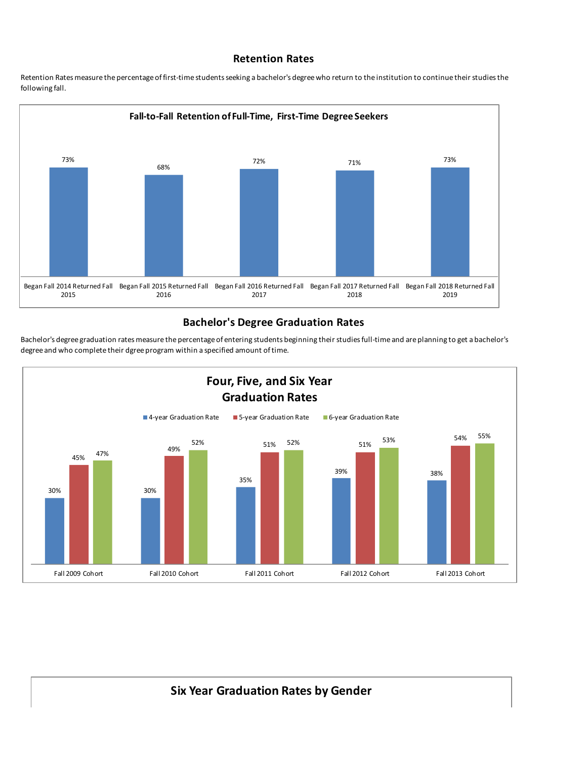## **Retention Rates**

Retention Rates measure the percentage of first-time students seeking a bachelor's degree who return to the institution to continue their studies the following fall.



## **Bachelor's Degree Graduation Rates**

30% 30% 35% 39% 38% 45% 49% 52% 51% 51% 51% 51% 51% 54% 47% 52% 52% 53% 55% Fall 2009 Cohort Fall 2010 Cohort Fall 2011 Cohort Fall 2012 Cohort Fall 2013 Cohort **Four, Five, and Six Year Graduation Rates** ■4-year Graduation Rate ■ 5-year Graduation Rate ■ 6-year Graduation Rate

Bachelor's degree graduation rates measure the percentage of entering students beginning their studies full-time and are planning to get a bachelor's degree and who complete their dgree program within a specified amount of time.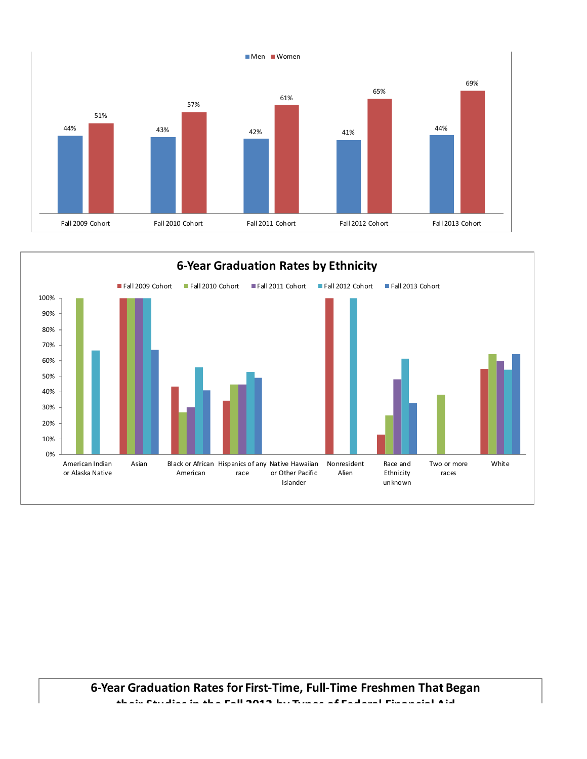

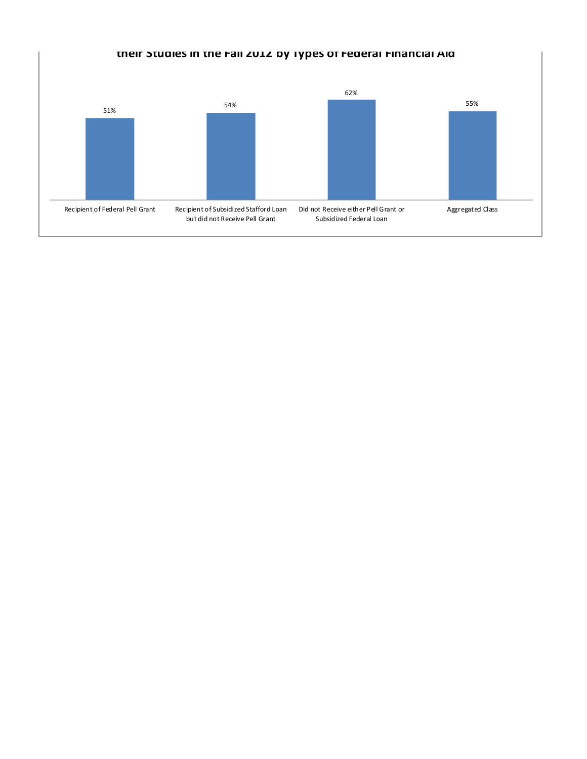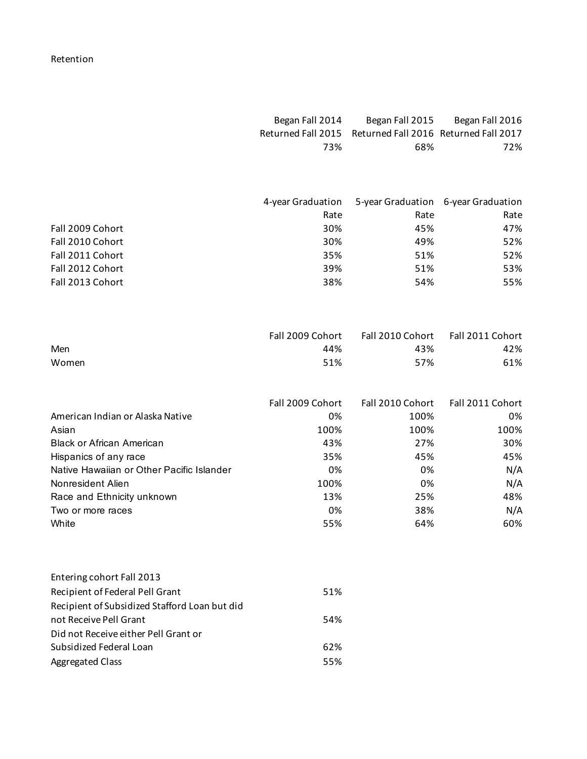## Retention

| Began Fall 2014 |                                                          | Began Fall 2015 Began Fall 2016 |
|-----------------|----------------------------------------------------------|---------------------------------|
|                 | Returned Fall 2015 Returned Fall 2016 Returned Fall 2017 |                                 |
| 73%             | 68%                                                      | 72%                             |
|                 |                                                          |                                 |
|                 |                                                          |                                 |

|                  | 4-year Graduation | 5-year Graduation 6-year Graduation |      |
|------------------|-------------------|-------------------------------------|------|
|                  | Rate              | Rate                                | Rate |
| Fall 2009 Cohort | 30%               | 45%                                 | 47%  |
| Fall 2010 Cohort | 30%               | 49%                                 | 52%  |
| Fall 2011 Cohort | 35%               | 51%                                 | 52%  |
| Fall 2012 Cohort | 39%               | 51%                                 | 53%  |
| Fall 2013 Cohort | 38%               | 54%                                 | 55%  |

|       | Fall 2009 Cohort |     | Fall 2010 Cohort Fall 2011 Cohort |
|-------|------------------|-----|-----------------------------------|
| Men   | 44%              | 43% | 42%                               |
| Women | 51%              | 57% | 61%                               |

|                                           | Fall 2009 Cohort | Fall 2010 Cohort Fall 2011 Cohort |      |
|-------------------------------------------|------------------|-----------------------------------|------|
| American Indian or Alaska Native          | 0%               | 100%                              | 0%   |
| Asian                                     | 100%             | 100%                              | 100% |
| <b>Black or African American</b>          | 43%              | 27%                               | 30%  |
| Hispanics of any race                     | 35%              | 45%                               | 45%  |
| Native Hawaiian or Other Pacific Islander | 0%               | 0%                                | N/A  |
| Nonresident Alien                         | 100%             | 0%                                | N/A  |
| Race and Ethnicity unknown                | 13%              | 25%                               | 48%  |
| Two or more races                         | 0%               | 38%                               | N/A  |
| White                                     | 55%              | 64%                               | 60%  |

| Entering cohort Fall 2013                     |     |
|-----------------------------------------------|-----|
| Recipient of Federal Pell Grant               | 51% |
| Recipient of Subsidized Stafford Loan but did |     |
| not Receive Pell Grant                        | 54% |
| Did not Receive either Pell Grant or          |     |
| Subsidized Federal Loan                       | 62% |
| <b>Aggregated Class</b>                       | 55% |